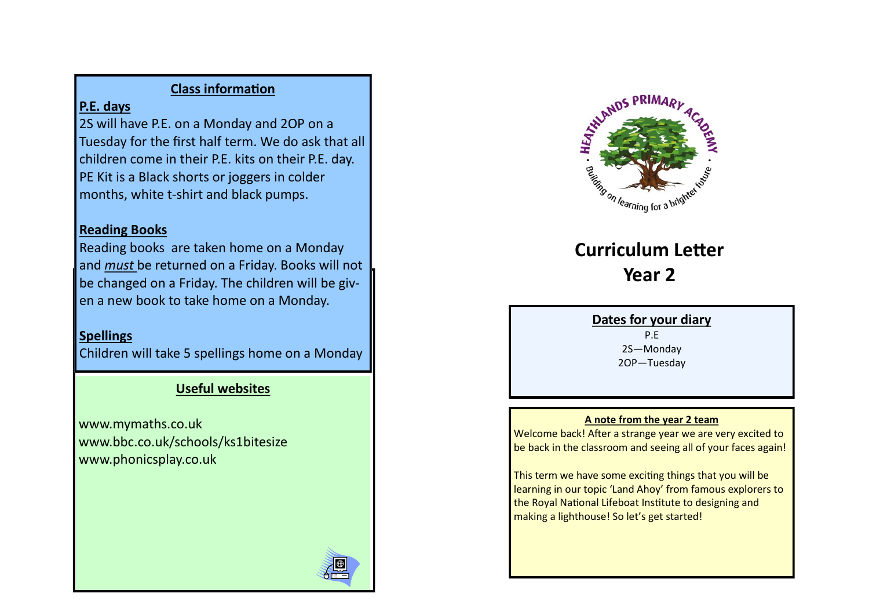# **Class information**

# **P.E. days**

2S will have P.E. on a Monday and 2OP on a Tuesday for the first half term. We do ask that all children come in their P.E. kits on their P.E. day. PE Kit is a Black shorts or joggers in colder months, white t-shirt and black pumps.

# **Reading Books**

Reading books are taken home on a Monday and *must* be returned on a Friday. Books will not be changed on a Friday. The children will be given a new book to take home on a Monday.

# **Spellings**

Children will take 5 spellings home on a Monday

# **Useful websites**

www.mymaths.co.uk www.bbc.co.uk/schools/ks1bitesize www.phonicsplay.co.uk



# **Curriculum Letter Year 2**

## **Dates for your diary**

P.E 2S—Monday 2OP—Tuesday

## **A note from the year 2 team**

Welcome back! After a strange year we are very excited to be back in the classroom and seeing all of your faces again!

This term we have some exciting things that you will be learning in our topic 'Land Ahoy' from famous explorers to the Royal National Lifeboat Institute to designing and making a lighthouse! So let's get started!